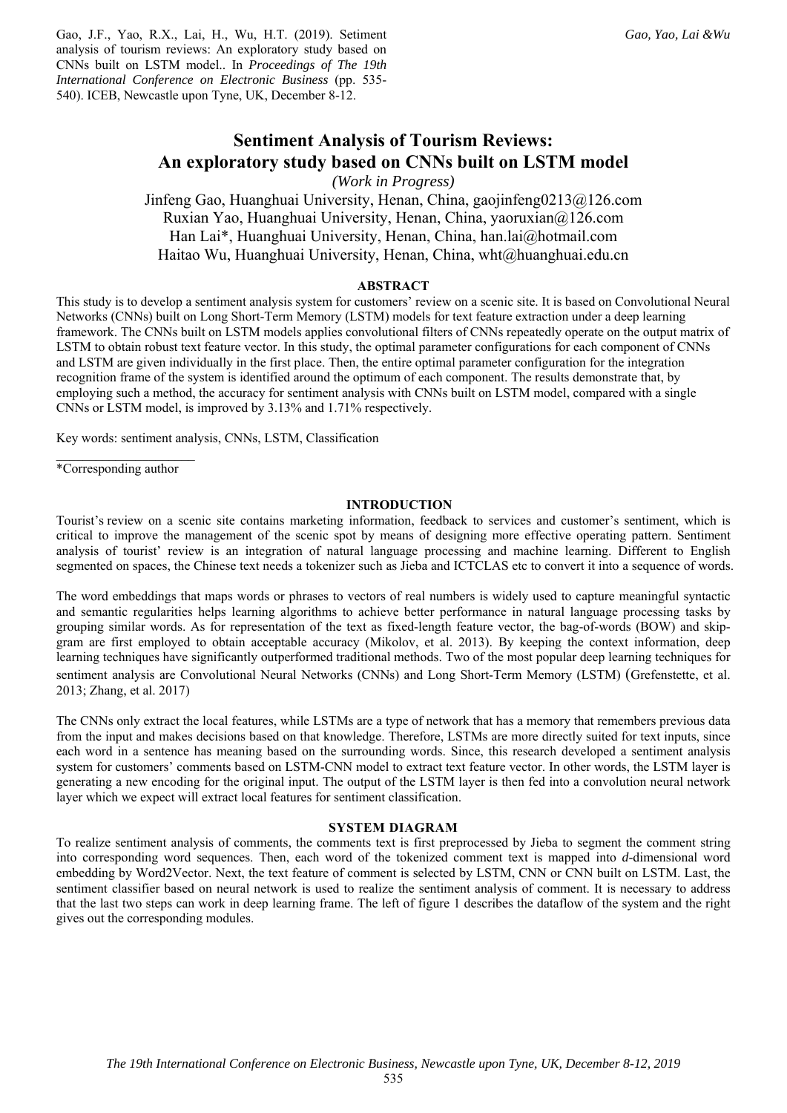Gao, J.F., Yao, R.X., Lai, H., Wu, H.T. (2019). Setiment analysis of tourism reviews: An exploratory study based on CNNs built on LSTM model.. In *Proceedings of The 19th International Conference on Electronic Business* (pp. 535- 540). ICEB, Newcastle upon Tyne, UK, December 8-12.

# **Sentiment Analysis of Tourism Reviews: An exploratory study based on CNNs built on LSTM model**

*(Work in Progress)* 

Jinfeng Gao, Huanghuai University, Henan, China, gaojinfeng0213@126.com Ruxian Yao, Huanghuai University, Henan, China, yaoruxian@126.com Han Lai\*, Huanghuai University, Henan, China, han.lai@hotmail.com Haitao Wu, Huanghuai University, Henan, China, wht@huanghuai.edu.cn

## **ABSTRACT**

This study is to develop a sentiment analysis system for customers' review on a scenic site. It is based on Convolutional Neural Networks (CNNs) built on Long Short-Term Memory (LSTM) models for text feature extraction under a deep learning framework. The CNNs built on LSTM models applies convolutional filters of CNNs repeatedly operate on the output matrix of LSTM to obtain robust text feature vector. In this study, the optimal parameter configurations for each component of CNNs and LSTM are given individually in the first place. Then, the entire optimal parameter configuration for the integration recognition frame of the system is identified around the optimum of each component. The results demonstrate that, by employing such a method, the accuracy for sentiment analysis with CNNs built on LSTM model, compared with a single CNNs or LSTM model, is improved by 3.13% and 1.71% respectively.

Key words: sentiment analysis, CNNs, LSTM, Classification

 $\overline{\phantom{a}}$  , where  $\overline{\phantom{a}}$ \*Corresponding author

# **INTRODUCTION**

Tourist's review on a scenic site contains marketing information, feedback to services and customer's sentiment, which is critical to improve the management of the scenic spot by means of designing more effective operating pattern. Sentiment analysis of tourist' review is an integration of natural language processing and machine learning. Different to English segmented on spaces, the Chinese text needs a tokenizer such as Jieba and ICTCLAS etc to convert it into a sequence of words.

The word embeddings that maps words or phrases to vectors of real numbers is widely used to capture meaningful syntactic and semantic regularities helps learning algorithms to achieve better performance in natural language processing tasks by grouping similar words. As for representation of the text as fixed-length feature vector, the bag-of-words (BOW) and skipgram are first employed to obtain acceptable accuracy (Mikolov, et al. 2013). By keeping the context information, deep learning techniques have significantly outperformed traditional methods. Two of the most popular deep learning techniques for sentiment analysis are Convolutional Neural Networks (CNNs) and Long Short-Term Memory (LSTM) (Grefenstette, et al. 2013; Zhang, et al. 2017)

The CNNs only extract the local features, while LSTMs are a type of network that has a memory that remembers previous data from the input and makes decisions based on that knowledge. Therefore, LSTMs are more directly suited for text inputs, since each word in a sentence has meaning based on the surrounding words. Since, this research developed a sentiment analysis system for customers' comments based on LSTM-CNN model to extract text feature vector. In other words, the LSTM layer is generating a new encoding for the original input. The output of the LSTM layer is then fed into a convolution neural network layer which we expect will extract local features for sentiment classification.

#### **SYSTEM DIAGRAM**

To realize sentiment analysis of comments, the comments text is first preprocessed by Jieba to segment the comment string into corresponding word sequences. Then, each word of the tokenized comment text is mapped into *d*-dimensional word embedding by Word2Vector. Next, the text feature of comment is selected by LSTM, CNN or CNN built on LSTM. Last, the sentiment classifier based on neural network is used to realize the sentiment analysis of comment. It is necessary to address that the last two steps can work in deep learning frame. The left of figure 1 describes the dataflow of the system and the right gives out the corresponding modules.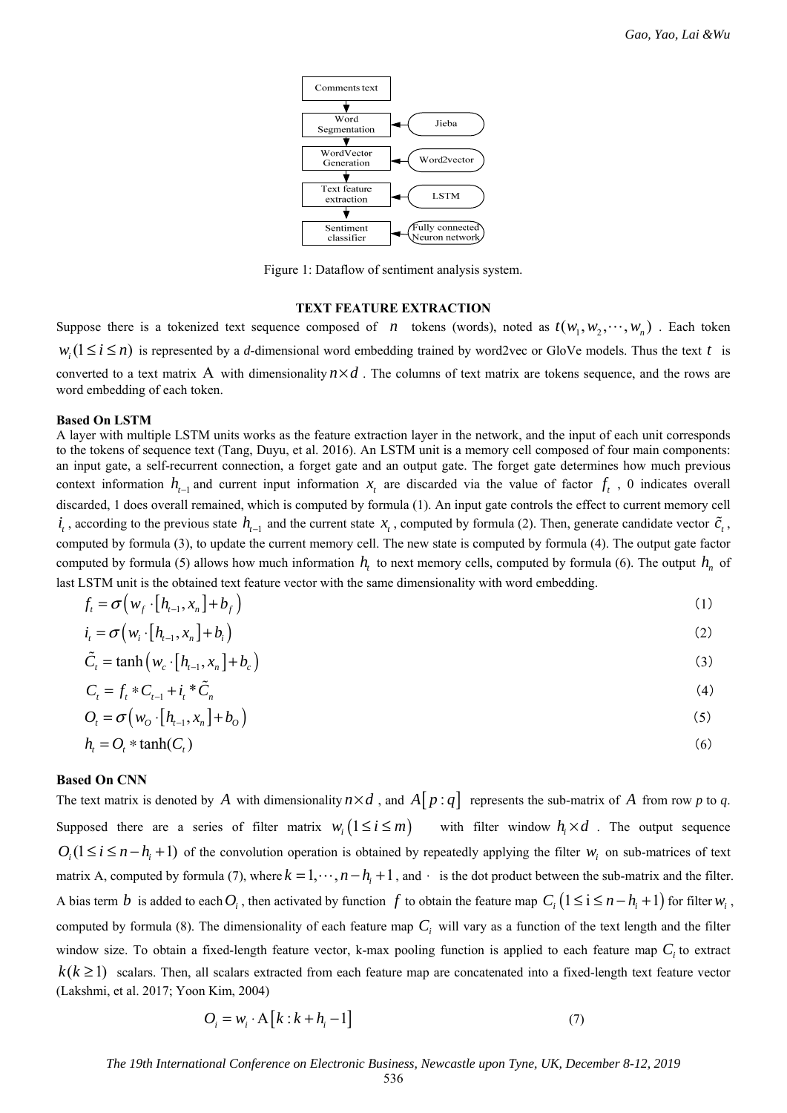

Figure 1: Dataflow of sentiment analysis system.

## **TEXT FEATURE EXTRACTION**

Suppose there is a tokenized text sequence composed of *n* tokens (words), noted as  $t(w_1, w_2, \dots, w_n)$ . Each token  $w_i$  ( $1 \le i \le n$ ) is represented by a *d*-dimensional word embedding trained by word2vec or GloVe models. Thus the text *t* is converted to a text matrix A with dimensionality  $n \times d$ . The columns of text matrix are tokens sequence, and the rows are word embedding of each token.

#### **Based On LSTM**

A layer with multiple LSTM units works as the feature extraction layer in the network, and the input of each unit corresponds to the tokens of sequence text (Tang, Duyu, et al. 2016). An LSTM unit is a memory cell composed of four main components: an input gate, a self-recurrent connection, a forget gate and an output gate. The forget gate determines how much previous context information  $h_{t-1}$  and current input information  $x_t$  are discarded via the value of factor  $f_t$ , 0 indicates overall discarded, 1 does overall remained, which is computed by formula (1). An input gate controls the effect to current memory cell  $i_t$ , according to the previous state  $h_{t-1}$  and the current state  $x_t$ , computed by formula (2). Then, generate candidate vector  $\tilde{c}_t$ , computed by formula (3), to update the current memory cell. The new state is computed by formula (4). The output gate factor computed by formula (5) allows how much information  $h<sub>i</sub>$  to next memory cells, computed by formula (6). The output  $h<sub>n</sub>$  of last LSTM unit is the obtained text feature vector with the same dimensionality with word embedding.

$$
f_t = \sigma \left( w_f \cdot \left[ h_{t-1}, x_n \right] + b_f \right) \tag{1}
$$

$$
i_t = \sigma\left(w_i \cdot [h_{t-1}, x_n] + b_i\right) \tag{2}
$$

$$
\tilde{C}_t = \tanh\left(w_c \cdot \left[h_{t-1}, x_n\right] + b_c\right) \tag{3}
$$

$$
C_t = f_t * C_{t-1} + i_t * \tilde{C}_n
$$
\n(4)

$$
O_t = \sigma \left( w_O \cdot \left[ h_{t-1}, x_n \right] + b_O \right) \tag{5}
$$

$$
h_t = O_t * \tanh(C_t) \tag{6}
$$

## **Based On CNN**

The text matrix is denoted by *A* with dimensionality  $n \times d$ , and  $A[p:q]$  represents the sub-matrix of *A* from row *p* to *q*. Supposed there are a series of filter matrix  $w_i (1 \le i \le m)$  with filter window  $h_i \times d$ . The output sequence  $O_1(1 \le i \le n-h + 1)$  of the convolution operation is obtained by repeatedly applying the filter *w<sub>i</sub>* on sub-matrices of text matrix A, computed by formula (7), where  $k = 1, \dots, n - h + 1$ , and  $\cdot$  is the dot product between the sub-matrix and the filter. A bias term *b* is added to each  $O_i$ , then activated by function f to obtain the feature map  $C_i$   $(1 \le i \le n - h_i + 1)$  for filter  $w_i$ , computed by formula (8). The dimensionality of each feature map  $C_i$  will vary as a function of the text length and the filter window size. To obtain a fixed-length feature vector, k-max pooling function is applied to each feature map  $C<sub>i</sub>$  to extract  $k(k \ge 1)$  scalars. Then, all scalars extracted from each feature map are concatenated into a fixed-length text feature vector (Lakshmi, et al. 2017; Yoon Kim, 2004)

$$
O_i = w_i \cdot A[k:k+h_i-1]
$$
\n<sup>(7)</sup>

*The 19th International Conference on Electronic Business, Newcastle upon Tyne, UK, December 8-12, 2019*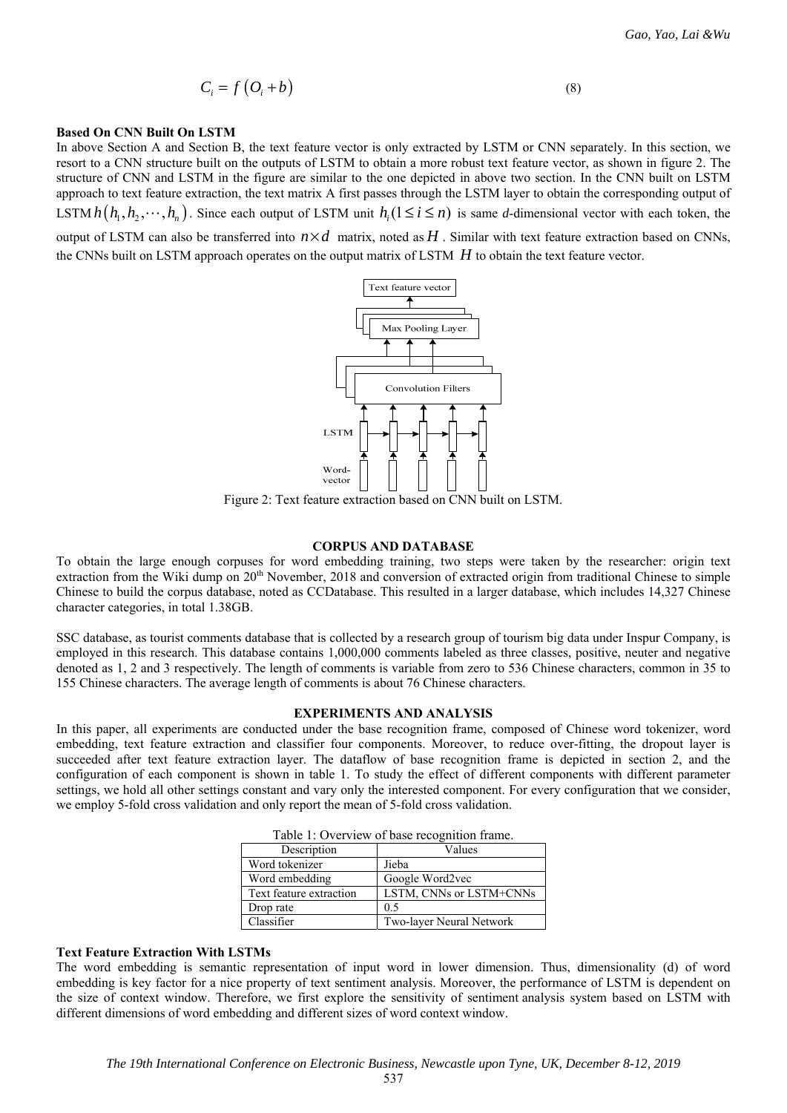$$
C_i = f\left(O_i + b\right) \tag{8}
$$

#### **Based On CNN Built On LSTM**

In above Section A and Section B, the text feature vector is only extracted by LSTM or CNN separately. In this section, we resort to a CNN structure built on the outputs of LSTM to obtain a more robust text feature vector, as shown in figure 2. The structure of CNN and LSTM in the figure are similar to the one depicted in above two section. In the CNN built on LSTM approach to text feature extraction, the text matrix A first passes through the LSTM layer to obtain the corresponding output of LSTM  $h(h_1, h_2, \dots, h_n)$ . Since each output of LSTM unit  $h_i$  ( $1 \le i \le n$ ) is same *d*-dimensional vector with each token, the output of LSTM can also be transferred into  $n \times d$  matrix, noted as  $H$ . Similar with text feature extraction based on CNNs,

the CNNs built on LSTM approach operates on the output matrix of LSTM *H* to obtain the text feature vector.



Figure 2: Text feature extraction based on CNN built on LSTM.

#### **CORPUS AND DATABASE**

To obtain the large enough corpuses for word embedding training, two steps were taken by the researcher: origin text extraction from the Wiki dump on 20<sup>th</sup> November, 2018 and conversion of extracted origin from traditional Chinese to simple Chinese to build the corpus database, noted as CCDatabase. This resulted in a larger database, which includes 14,327 Chinese character categories, in total 1.38GB.

SSC database, as tourist comments database that is collected by a research group of tourism big data under Inspur Company, is employed in this research. This database contains 1,000,000 comments labeled as three classes, positive, neuter and negative denoted as 1, 2 and 3 respectively. The length of comments is variable from zero to 536 Chinese characters, common in 35 to 155 Chinese characters. The average length of comments is about 76 Chinese characters.

#### **EXPERIMENTS AND ANALYSIS**

In this paper, all experiments are conducted under the base recognition frame, composed of Chinese word tokenizer, word embedding, text feature extraction and classifier four components. Moreover, to reduce over-fitting, the dropout layer is succeeded after text feature extraction layer. The dataflow of base recognition frame is depicted in section 2, and the configuration of each component is shown in table 1. To study the effect of different components with different parameter settings, we hold all other settings constant and vary only the interested component. For every configuration that we consider, we employ 5-fold cross validation and only report the mean of 5-fold cross validation.

| Table 1. OVCIVICW OF Dase recognition manner. |                          |  |  |  |  |
|-----------------------------------------------|--------------------------|--|--|--|--|
| Description                                   | Values                   |  |  |  |  |
| Word tokenizer                                | Jieba                    |  |  |  |  |
| Word embedding                                | Google Word2vec          |  |  |  |  |
| Text feature extraction                       | LSTM, CNNs or LSTM+CNNs  |  |  |  |  |
| Drop rate                                     | 0.5                      |  |  |  |  |
| Classifier                                    | Two-layer Neural Network |  |  |  |  |

|  |  | Table 1: Overview of base recognition frame. |  |
|--|--|----------------------------------------------|--|

#### **Text Feature Extraction With LSTMs**

The word embedding is semantic representation of input word in lower dimension. Thus, dimensionality (d) of word embedding is key factor for a nice property of text sentiment analysis. Moreover, the performance of LSTM is dependent on the size of context window. Therefore, we first explore the sensitivity of sentiment analysis system based on LSTM with different dimensions of word embedding and different sizes of word context window.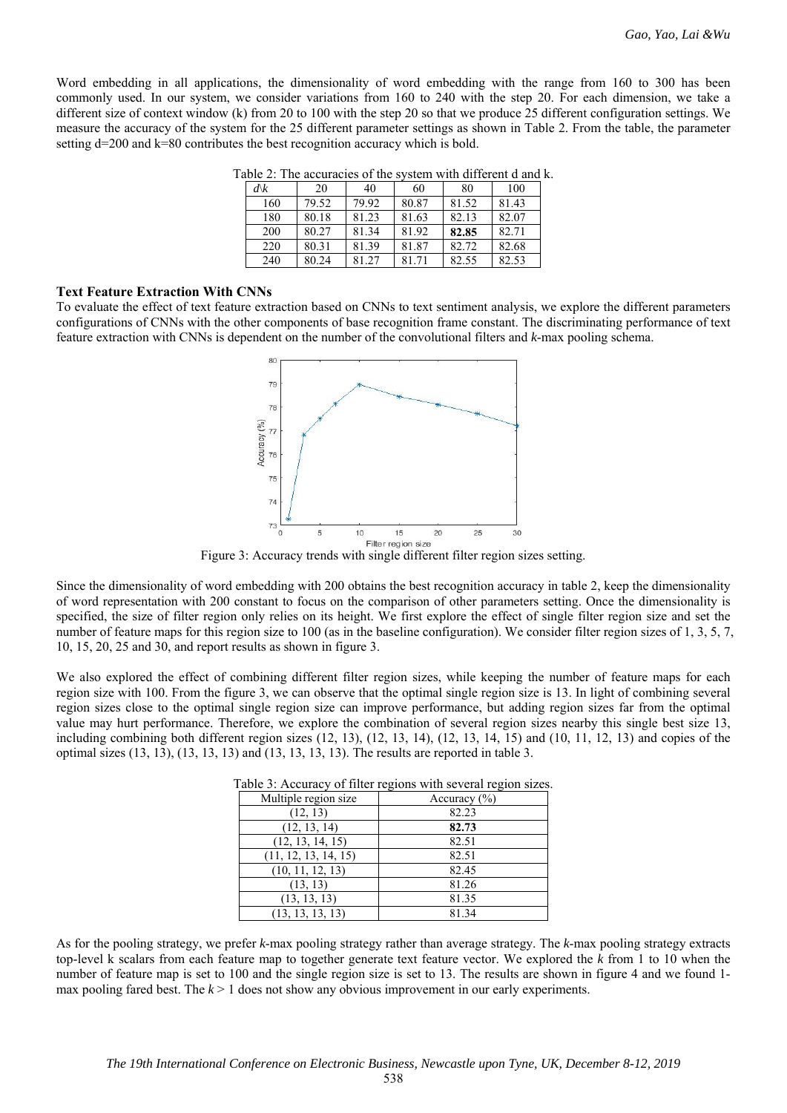Word embedding in all applications, the dimensionality of word embedding with the range from 160 to 300 has been commonly used. In our system, we consider variations from 160 to 240 with the step 20. For each dimension, we take a different size of context window (k) from 20 to 100 with the step 20 so that we produce 25 different configuration settings. We measure the accuracy of the system for the 25 different parameter settings as shown in Table 2. From the table, the parameter setting d=200 and k=80 contributes the best recognition accuracy which is bold.

| $d\mathcal{K}$ | 20    | 40    | 60    | 80    | 100   |
|----------------|-------|-------|-------|-------|-------|
| 160            | 79.52 | 79.92 | 80.87 | 81.52 | 81.43 |
| 180            | 80.18 | 81.23 | 81.63 | 82.13 | 82.07 |
| 200            | 80.27 | 81.34 | 81.92 | 82.85 | 82.71 |
| 220            | 80.31 | 81.39 | 81.87 | 82.72 | 82.68 |
| 240            | 80.24 | 81.27 | 81.71 | 82.55 | 82.53 |

Table 2: The accuracies of the system with different d and k.

## **Text Feature Extraction With CNNs**

To evaluate the effect of text feature extraction based on CNNs to text sentiment analysis, we explore the different parameters configurations of CNNs with the other components of base recognition frame constant. The discriminating performance of text feature extraction with CNNs is dependent on the number of the convolutional filters and *k*-max pooling schema.



Figure 3: Accuracy trends with single different filter region sizes setting.

Since the dimensionality of word embedding with 200 obtains the best recognition accuracy in table 2, keep the dimensionality of word representation with 200 constant to focus on the comparison of other parameters setting. Once the dimensionality is specified, the size of filter region only relies on its height. We first explore the effect of single filter region size and set the number of feature maps for this region size to 100 (as in the baseline configuration). We consider filter region sizes of 1, 3, 5, 7, 10, 15, 20, 25 and 30, and report results as shown in figure 3.

We also explored the effect of combining different filter region sizes, while keeping the number of feature maps for each region size with 100. From the figure 3, we can observe that the optimal single region size is 13. In light of combining several region sizes close to the optimal single region size can improve performance, but adding region sizes far from the optimal value may hurt performance. Therefore, we explore the combination of several region sizes nearby this single best size 13, including combining both different region sizes (12, 13), (12, 13, 14), (12, 13, 14, 15) and (10, 11, 12, 13) and copies of the optimal sizes (13, 13), (13, 13, 13) and (13, 13, 13, 13). The results are reported in table 3.

| Multiple region size | Accuracy $(\% )$ |
|----------------------|------------------|
| (12, 13)             | 82.23            |
| (12, 13, 14)         | 82.73            |
| (12, 13, 14, 15)     | 82.51            |
| (11, 12, 13, 14, 15) | 82.51            |
| (10, 11, 12, 13)     | 82.45            |
| (13, 13)             | 81.26            |
| (13, 13, 13)         | 81.35            |
| (13, 13, 13, 13)     | 81.34            |

Table 3: Accuracy of filter regions with several region sizes.

As for the pooling strategy, we prefer *k*-max pooling strategy rather than average strategy. The *k*-max pooling strategy extracts top-level k scalars from each feature map to together generate text feature vector. We explored the *k* from 1 to 10 when the number of feature map is set to 100 and the single region size is set to 13. The results are shown in figure 4 and we found 1 max pooling fared best. The  $k > 1$  does not show any obvious improvement in our early experiments.

538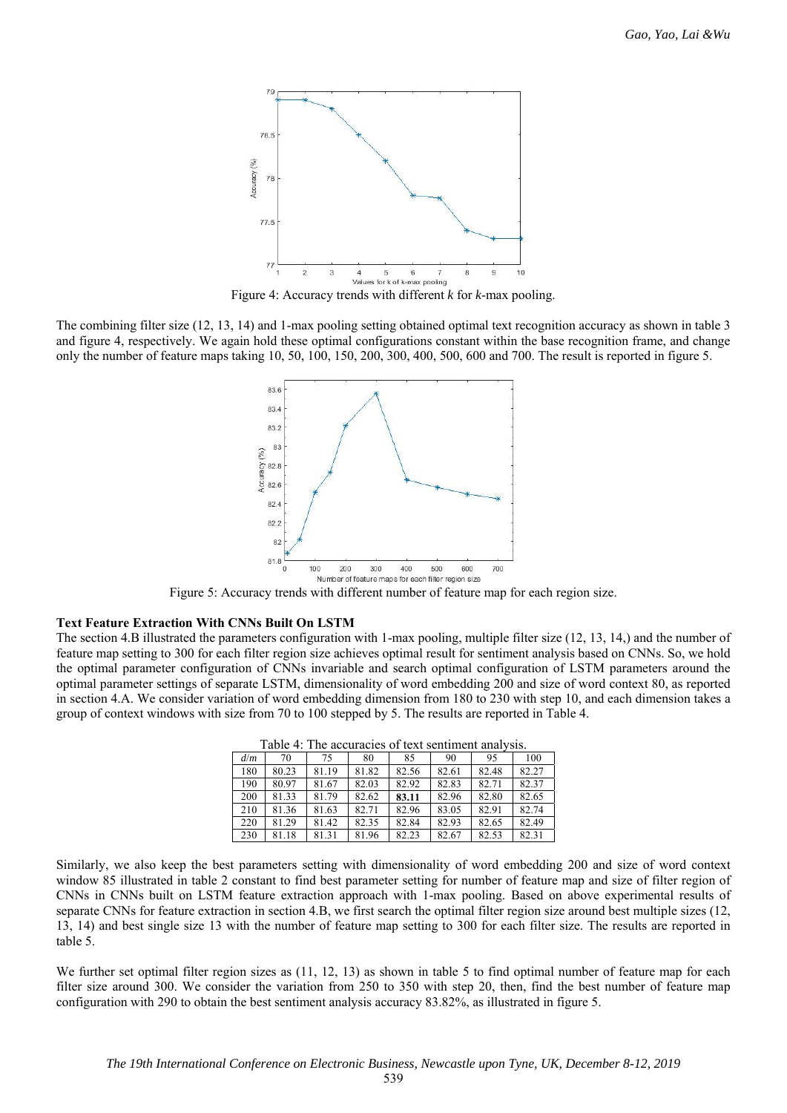

Figure 4: Accuracy trends with different *k* for *k*-max pooling.

The combining filter size (12, 13, 14) and 1-max pooling setting obtained optimal text recognition accuracy as shown in table 3 and figure 4, respectively. We again hold these optimal configurations constant within the base recognition frame, and change only the number of feature maps taking 10, 50, 100, 150, 200, 300, 400, 500, 600 and 700. The result is reported in figure 5.



Figure 5: Accuracy trends with different number of feature map for each region size.

#### **Text Feature Extraction With CNNs Built On LSTM**

The section 4.B illustrated the parameters configuration with 1-max pooling, multiple filter size (12, 13, 14,) and the number of feature map setting to 300 for each filter region size achieves optimal result for sentiment analysis based on CNNs. So, we hold the optimal parameter configuration of CNNs invariable and search optimal configuration of LSTM parameters around the optimal parameter settings of separate LSTM, dimensionality of word embedding 200 and size of word context 80, as reported in section 4.A. We consider variation of word embedding dimension from 180 to 230 with step 10, and each dimension takes a group of context windows with size from 70 to 100 stepped by 5. The results are reported in Table 4.

| d/m | 70    | 75    | 80    | 85    | 90    | 95    | 100   |
|-----|-------|-------|-------|-------|-------|-------|-------|
| 180 | 80.23 | 81.19 | 81.82 | 82.56 | 82.61 | 82.48 | 82.27 |
| 190 | 80.97 | 81.67 | 82.03 | 82.92 | 82.83 | 82.71 | 82.37 |
| 200 | 81.33 | 81.79 | 82.62 | 83.11 | 82.96 | 82.80 | 82.65 |
| 210 | 81.36 | 81.63 | 82.71 | 82.96 | 83.05 | 82.91 | 82.74 |
| 220 | 81.29 | 81.42 | 82.35 | 82.84 | 82.93 | 82.65 | 82.49 |
| 230 | 81.18 | 81.31 | 81.96 | 82.23 | 82.67 | 82.53 | 82.31 |

Table 4: The accuracies of text sentiment analysis.

Similarly, we also keep the best parameters setting with dimensionality of word embedding 200 and size of word context window 85 illustrated in table 2 constant to find best parameter setting for number of feature map and size of filter region of CNNs in CNNs built on LSTM feature extraction approach with 1-max pooling. Based on above experimental results of separate CNNs for feature extraction in section 4.B, we first search the optimal filter region size around best multiple sizes (12, 13, 14) and best single size 13 with the number of feature map setting to 300 for each filter size. The results are reported in table 5.

We further set optimal filter region sizes as  $(11, 12, 13)$  as shown in table 5 to find optimal number of feature map for each filter size around 300. We consider the variation from 250 to 350 with step 20, then, find the best number of feature map configuration with 290 to obtain the best sentiment analysis accuracy 83.82%, as illustrated in figure 5.

539